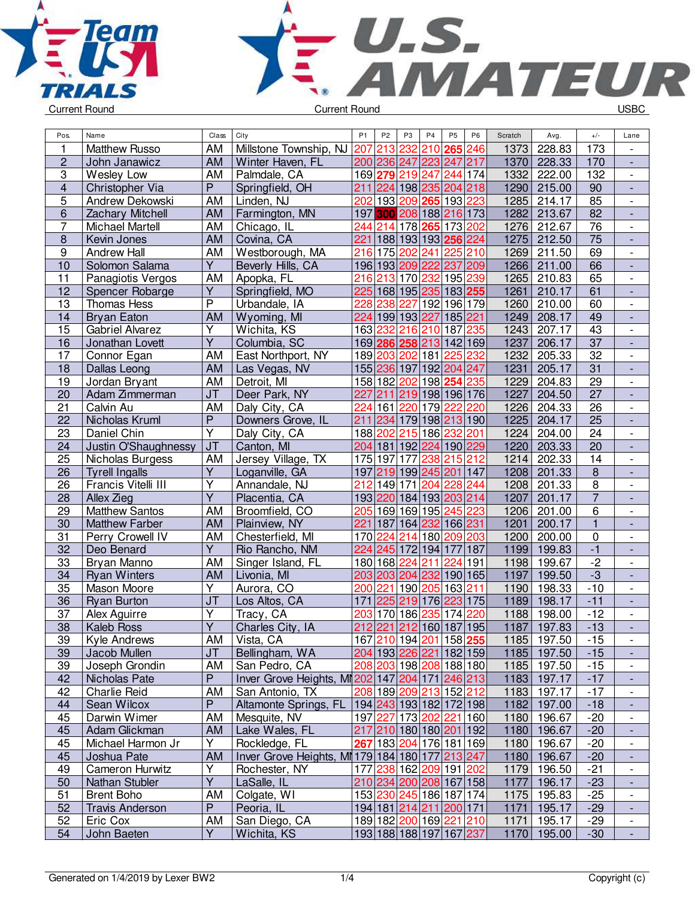



| Pos.                    | Name                              | Class                        | City                                            | P <sub>1</sub> | P <sub>2</sub>  | P3  | P <sub>4</sub>             | P <sub>5</sub> | <b>P6</b>               | Scratch      | Avg.             | $+/-$                            | Lane                                                 |
|-------------------------|-----------------------------------|------------------------------|-------------------------------------------------|----------------|-----------------|-----|----------------------------|----------------|-------------------------|--------------|------------------|----------------------------------|------------------------------------------------------|
| $\mathbf{1}$            | <b>Matthew Russo</b>              | AM                           | Millstone Township, NJ                          | 207            | 213             | 232 | 210                        | 265            | 246                     | 1373         | 228.83           | 173                              | $\overline{\phantom{a}}$                             |
| $\overline{2}$          | John Janawicz                     | <b>AM</b>                    | Winter Haven, FL                                |                |                 |     | 200 236 247 223 247 217    |                |                         | 1370         | 228.33           | 170                              | $\overline{a}$                                       |
| 3                       | Wesley Low                        | AM                           | Palmdale, CA                                    |                |                 |     | 169 279 219 247            | 244 174        |                         | 1332         | 222.00           | 132                              | $\overline{\phantom{a}}$                             |
| $\overline{\mathbf{4}}$ | Christopher Via                   | $\overline{P}$               | Springfield, OH                                 | 211            |                 |     | 224 198 235 204 218        |                |                         | 1290         | 215.00           | 90                               | ÷,                                                   |
| 5                       | Andrew Dekowski                   | AM                           | Linden, NJ                                      | 202            | 193             |     | 209 265 193                |                | 223                     | 1285         | 214.17           | 85                               | $\frac{1}{2}$                                        |
| 6                       | <b>Zachary Mitchell</b>           | <b>AM</b>                    | Farmington, MN                                  | 197            |                 |     | 300 208 188 216 173        |                |                         | 1282         | 213.67           | 82                               | $\frac{1}{2}$                                        |
| $\overline{7}$          | Michael Martell                   | AM                           | Chicago, IL                                     | 244            | 214             |     | 178 265 173                |                | 202                     | 1276         | 212.67           | 76                               | $\overline{\phantom{a}}$                             |
| 8                       | Kevin Jones                       | <b>AM</b>                    | Covina, CA                                      | 221            |                 |     | 188 193 193 256            |                | 224                     | 1275         | 212.50           | 75                               | $\overline{\phantom{a}}$                             |
| 9                       | <b>Andrew Hall</b>                | AM                           | Westborough, MA                                 | 216            |                 |     | 175 202 241                | 225            | 210                     | 1269         | 211.50           | 69                               | $\overline{\phantom{a}}$                             |
| 10                      | Solomon Salama                    | Y                            | Beverly Hills, CA                               |                | 196 193 209 222 |     |                            | 237            | 209                     | 1266         | 211.00           | 66                               |                                                      |
| 11                      | Panagiotis Vergos                 | AM                           | Apopka, FL                                      |                |                 |     | 216 213 170 232            | 195            | 239                     | 1265         | 210.83           | 65                               | $\overline{\phantom{a}}$                             |
| 12                      | Spencer Robarge                   | Υ                            | Springfield, MO                                 |                |                 |     | 225 168 195 235 183 255    |                |                         | 1261         | 210.17           | 61                               | $\overline{a}$                                       |
| 13                      | <b>Thomas Hess</b>                | $\overline{P}$               | Urbandale, IA                                   | 228            | 238             | 227 | 192 196 179                |                |                         | 1260         | 210.00           | 60                               | $\overline{\phantom{a}}$                             |
| 14                      | <b>Bryan Eaton</b>                | <b>AM</b>                    | Wyoming, MI                                     |                |                 |     | 224 199 193 227            | 185 221        |                         | 1249         | 208.17           | 49                               | $\frac{1}{2}$                                        |
| 15                      | <b>Gabriel Alvarez</b>            | Y                            | Wichita, KS                                     | 163            |                 |     | 232 216 210                | 187            | 235                     | 1243         | 207.17           | 43                               | $\frac{1}{2}$                                        |
| 16                      | Jonathan Lovett                   | Y                            | Columbia, SC                                    |                |                 |     | 169 286 258 213 142 169    |                |                         | 1237         | 206.17           | 37                               | $\frac{1}{2}$                                        |
| 17                      | Connor Egan                       | AM                           | East Northport, NY                              |                | 189 203 202 181 |     |                            | 225            | 232                     | 1232         | 205.33           | 32                               | $\overline{\phantom{a}}$                             |
| 18                      | Dallas Leong                      | <b>AM</b>                    | Las Vegas, NV                                   |                |                 |     | 155 236 197 192 204        |                | 247                     | 1231         | 205.17           | $\overline{31}$                  | $\overline{\phantom{a}}$                             |
| 19                      | Jordan Bryant                     | AM                           | Detroit, MI                                     |                |                 |     | 158 182 202 198 254        |                | 235                     | 1229         | 204.83           | 29                               | $\overline{\phantom{a}}$                             |
| 20                      | Adam Zimmerman                    | <b>JT</b>                    | Deer Park, NY                                   | 227            | 211             |     | 219 198 196 176            |                |                         | 1227         | 204.50           | 27                               | $\overline{\phantom{a}}$                             |
| 21                      | Calvin Au                         | <b>AM</b>                    | Daly City, CA                                   | 224            | 161             |     | 220 179                    | 222            | 220                     | 1226         | 204.33           | 26                               | $\overline{\phantom{a}}$                             |
| 22                      | Nicholas Kruml                    | $\overline{P}$               | Downers Grove, IL                               | 211            | 234             |     | 179 198 213 190            |                |                         | 1225         | 204.17           | $\overline{25}$                  | ÷,                                                   |
| 23                      | Daniel Chin                       | $\overline{\mathsf{Y}}$      | Daly City, CA                                   |                | 188 202         |     | 215 186                    | 232 201        |                         | 1224         | 204.00           | 24                               | $\overline{\phantom{a}}$                             |
| 24                      | Justin O'Shaughnessy              | J <sub>T</sub>               | Canton, MI                                      |                |                 |     | 204 181 192 224 190 229    |                |                         | 1220         | 203.33           | $\overline{20}$                  | $\frac{1}{2}$                                        |
| 25                      | Nicholas Burgess                  | AM                           | Jersey Village, TX                              |                | 175 197         | 177 | 238                        | 215 212        |                         | 1214         | 202.33           | 14                               | $\frac{1}{2}$                                        |
| 26<br>26                | <b>Tyrell Ingalls</b>             | Y<br>$\overline{\mathsf{Y}}$ | Loganville, GA<br>Annandale, NJ                 | 212            | 149 171         |     | 197 219 199 245 201<br>204 | 228            | 147<br>244              | 1208<br>1208 | 201.33<br>201.33 | $\overline{8}$<br>$\overline{8}$ | $\overline{\phantom{a}}$                             |
| 28                      | Francis Vitelli III<br>Allex Zieg | $\overline{\mathsf{Y}}$      | Placentia, CA                                   |                | 193 220         |     | 184 193 203 214            |                |                         | 1207         | 201.17           | $\overline{7}$                   | $\overline{\phantom{a}}$<br>$\overline{\phantom{a}}$ |
| 29                      | <b>Matthew Santos</b>             | AM                           | Broomfield, CO                                  |                |                 |     | 205 169 169 195            | 245            | 223                     | 1206         | 201.00           | $\overline{6}$                   | $\overline{\phantom{a}}$                             |
| 30                      | <b>Matthew Farber</b>             | <b>AM</b>                    | Plainview, NY                                   | 221            | 187             |     | 164 232                    | 166 231        |                         | 1201         | 200.17           | $\overline{1}$                   | L,                                                   |
| 31                      | Perry Crowell IV                  | AM                           | Chesterfield, MI                                |                | 170 224         |     | 214 180 209 203            |                |                         | 1200         | 200.00           | $\overline{0}$                   | $\overline{\phantom{a}}$                             |
| 32                      | Deo Benard                        | $\overline{Y}$               | Rio Rancho, NM                                  | 224            | 245             |     | 172 194                    |                | 177 187                 | 1199         | 199.83           | $-1$                             | ÷,                                                   |
| 33                      | Bryan Manno                       | AM                           | Singer Island, FL                               |                | 180 168 224 211 |     |                            |                | 224 191                 | 1198         | 199.67           | $-2$                             | $\overline{\phantom{a}}$                             |
| 34                      | <b>Ryan Winters</b>               | <b>AM</b>                    | Livonia, MI                                     |                |                 |     | 203 203 204 232 190 165    |                |                         | 1197         | 199.50           | $-3$                             | $\frac{1}{2}$                                        |
| 35                      | Mason Moore                       | $\overline{\mathsf{Y}}$      | Aurora, CO                                      | 200            | 221             |     | 190 205                    | 163            | 211                     | 1190         | 198.33           | $-10$                            | $\overline{\phantom{a}}$                             |
| 36                      | <b>Ryan Burton</b>                | JT                           | Los Altos, CA                                   | 171            | 225             |     | 219 176                    |                | 223 175                 | 1189         | 198.17           | $-11$                            | $\overline{\phantom{a}}$                             |
| 37                      | Alex Aguirre                      | Υ                            | Tracy, CA                                       | 203            |                 |     | 170 186 235                | 174            | 220                     | 1188         | 198.00           | $-12$                            | $\overline{\phantom{a}}$                             |
| $\overline{38}$         | Kaleb Ross                        | $\overline{\mathsf{Y}}$      | Charles City, IA                                |                | 212 221         |     | 212 160 187 195            |                |                         | 1187         | 197.83           | $-13$                            |                                                      |
| 39                      | Kyle Andrews                      | AM                           | Vista, CA                                       |                |                 |     | 167 210 194 201 158 255    |                |                         |              | 1185 197.50      | -15                              | $\overline{\phantom{a}}$                             |
| 39                      | Jacob Mullen                      | <b>JT</b>                    | Bellingham, WA                                  |                |                 |     |                            |                | 204 193 226 221 182 159 |              | 1185 197.50      | $-15$                            |                                                      |
| 39                      | Joseph Grondin                    | AM                           | San Pedro, CA                                   |                |                 |     | 208 203 198 208 188 180    |                |                         |              | 1185 197.50      | $-15$                            | $\overline{\phantom{a}}$                             |
| 42                      | Nicholas Pate                     | P                            | Inver Grove Heights, MI202 147 204 171 246 213  |                |                 |     |                            |                |                         |              | 1183 197.17      | $-17$                            |                                                      |
| 42                      | Charlie Reid                      | AM                           | San Antonio, TX                                 |                |                 |     | 208 189 209 213 152 212    |                |                         |              | 1183 197.17      | $-17$                            |                                                      |
| 44                      | Sean Wilcox                       | P                            | Altamonte Springs, FL                           |                |                 |     | 194 243 193 182 172 198    |                |                         |              | 1182 197.00      | $-18$                            | $\overline{\phantom{a}}$                             |
| 45                      | Darwin Wimer                      | AM                           | Mesquite, NV                                    |                |                 |     | 197 227 173 202 221 160    |                |                         |              | 1180 196.67      | $-20$                            | $\overline{\phantom{a}}$                             |
| 45                      | Adam Glickman                     | AM                           | Lake Wales, FL                                  |                |                 |     | 217 210 180 180 201 192    |                |                         |              | 1180 196.67      | $-20$                            | $\overline{\phantom{a}}$                             |
| 45                      | Michael Harmon Jr                 | Y                            | Rockledge, FL                                   |                |                 |     | 267 183 204 176 181 169    |                |                         |              | 1180 196.67      | $-20$                            | $\overline{\phantom{a}}$                             |
| 45                      | Joshua Pate                       | AM                           | Inver Grove Heights, MI 179 184 180 177 213 247 |                |                 |     |                            |                |                         |              | 1180 196.67      | $-20$                            | ٠                                                    |
| 49                      | Cameron Hurwitz                   | Υ                            | Rochester, NY                                   |                |                 |     | 177 238 162 209 191 202    |                |                         |              | 1179 196.50      | $-21$                            | $\overline{\phantom{a}}$                             |
| 50                      | Nathan Stubler                    | $\overline{Y}$               | LaSalle, IL                                     |                |                 |     | 210 234 200 208 167 158    |                |                         |              | 1177 196.17      | $-23$                            | ٠                                                    |
| 51                      | <b>Brent Boho</b>                 | AM                           | Colgate, WI                                     |                |                 |     | 153 230 245 186 187 174    |                |                         |              | 1175 195.83      | $-25$                            | $\overline{\phantom{a}}$                             |
| 52                      | <b>Travis Anderson</b>            | P                            | Peoria, IL                                      |                |                 |     | 194 181 214 211 200 171    |                |                         |              | 1171 195.17      | $-29$                            |                                                      |
| 52                      | Eric Cox                          | AM                           | San Diego, CA                                   |                |                 |     | 189 182 200 169 221 210    |                |                         | 1171         | 195.17           | $-29$                            | $\overline{\phantom{a}}$                             |
| 54                      | John Baeten                       | $\overline{Y}$               | Wichita, KS                                     |                |                 |     |                            |                | 193 188 188 197 167 237 |              | 1170 195.00      | $-30$                            | $\overline{\phantom{a}}$                             |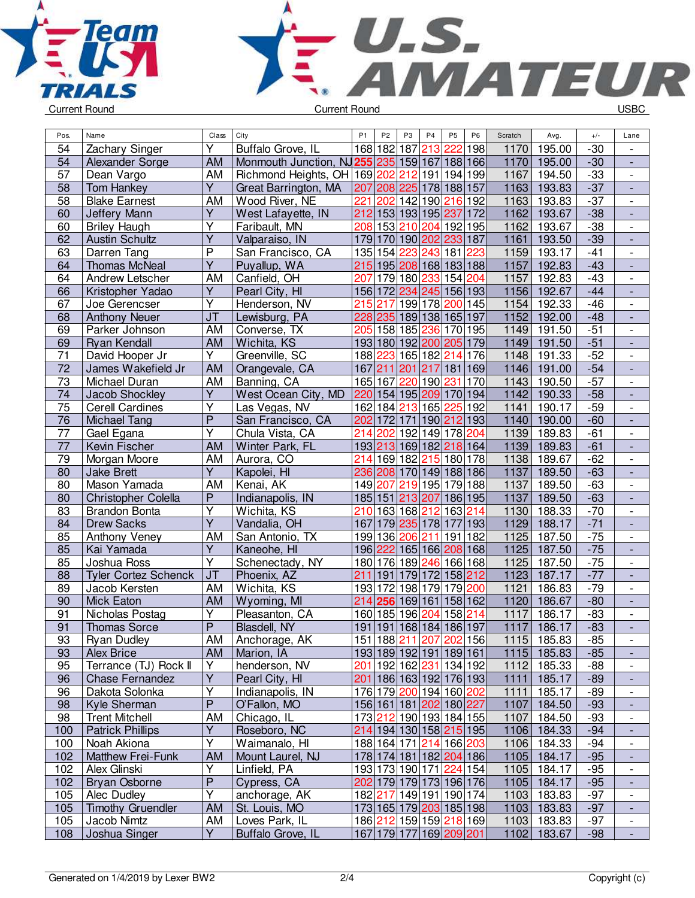



| Pos.            | Name                        | Class                             | City                                 | P <sub>1</sub> | P <sub>2</sub> | P <sub>3</sub> | P <sub>4</sub>                         | <b>P5</b>   | P <sub>6</sub> | Scratch | Avg.        | $+/-$ | Lane                     |
|-----------------|-----------------------------|-----------------------------------|--------------------------------------|----------------|----------------|----------------|----------------------------------------|-------------|----------------|---------|-------------|-------|--------------------------|
| 54              | Zachary Singer              | Υ                                 | Buffalo Grove, IL                    |                | 168 182        | 187            | 213                                    | 222         | 198            | 1170    | 195.00      | $-30$ | $\overline{\phantom{a}}$ |
| 54              | Alexander Sorge             | <b>AM</b>                         | Monmouth Junction, NJ255 235 159 167 |                |                |                |                                        | 188 166     |                | 1170    | 195.00      | $-30$ | $\blacksquare$           |
| 57              | Dean Vargo                  | AM                                | Richmond Heights, OH 169 202         |                |                | 212            | 191                                    | 194 199     |                | 1167    | 194.50      | $-33$ | $\overline{\phantom{a}}$ |
| 58              | <b>Tom Hankey</b>           | $\overline{Y}$                    | Great Barrington, MA                 | 207            |                |                | 208 225 178 188 157                    |             |                | 1163    | 193.83      | $-37$ | $\blacksquare$           |
| 58              | <b>Blake Earnest</b>        | AM                                | Wood River, NE                       | 221            | 202            |                | 142 190                                | 216 192     |                | 1163    | 193.83      | $-37$ | $\overline{\phantom{a}}$ |
| 60              | Jeffery Mann                | $\overline{Y}$                    | West Lafayette, IN                   | 212            |                |                | 153 193 195 237                        |             | 172            | 1162    | 193.67      | $-38$ | $\frac{1}{2}$            |
| 60              | <b>Briley Haugh</b>         | Υ                                 | Faribault, MN                        | 208            | 153            | 210            | 204                                    | 192 195     |                | 1162    | 193.67      | $-38$ | $\overline{\phantom{a}}$ |
| 62              | <b>Austin Schultz</b>       | $\overline{Y}$                    | Valparaiso, IN                       | 179            |                |                | 170 190 202                            | 233 187     |                | 1161    | 193.50      | $-39$ |                          |
| 63              | Darren Tang                 | $\overline{P}$                    | San Francisco, CA                    |                | 135 154        | 223            | 243                                    | 181         | 223            | 1159    | 193.17      | $-41$ |                          |
| 64              | <b>Thomas McNeal</b>        | $\overline{\mathsf{Y}}$           | Puyallup, WA                         | 215            |                |                | 195 208 168 183 188                    |             |                | 1157    | 192.83      | $-43$ |                          |
| 64              | Andrew Letscher             | AM                                | Canfield, OH                         | 207            |                |                | 179 180 233                            | 154         | 204            | 1157    | 192.83      | $-43$ | $\overline{\phantom{a}}$ |
| 66              | Kristopher Yadao            | Υ                                 | Pearl City, HI                       |                |                | 156 172 234    | 245                                    | 156 193     |                | 1156    | 192.67      | $-44$ | ÷,                       |
| 67              | Joe Gerencser               | $\overline{Y}$                    | Henderson, NV                        | 215            | 217            |                | 199 178                                | 200 145     |                | 1154    | 192.33      | $-46$ | $\overline{\phantom{a}}$ |
| 68              | <b>Anthony Neuer</b>        | $\overline{\mathsf{J}\mathsf{T}}$ | Lewisburg, PA                        | 228            |                |                | 235 189 138 165 197                    |             |                | 1152    | 192.00      | $-48$ | $\Box$                   |
| 69              | Parker Johnson              | AM                                | Converse, TX                         | 205            |                |                | 158 185  <mark>236</mark>              | 170 195     |                | 1149    | 191.50      | $-51$ | $\blacksquare$           |
| 69              | <b>Ryan Kendall</b>         | <b>AM</b>                         | Wichita, KS                          |                |                |                | 193 180 192 200                        | 205 179     |                | 1149    | 191.50      | $-51$ | $\frac{1}{2}$            |
| 71              | David Hooper Jr             | Υ                                 | Greenville, SC                       | 188            | 223            |                | 165 182 214                            |             | 176            | 1148    | 191.33      | $-52$ | $\overline{\phantom{a}}$ |
| 72              | James Wakefield Jr          | <b>AM</b>                         | Orangevale, CA                       | 167            | 211            | 201            | 217                                    | 181 169     |                | 1146    | 191.00      | $-54$ |                          |
| 73              | Michael Duran               | AM                                | Banning, CA                          | 165 167        |                | 220            | 190                                    | 231         | 170            | 1143    | 190.50      | $-57$ |                          |
| 74              | Jacob Shockley              | $\overline{Y}$                    | West Ocean City, MD                  |                |                |                | 220 154 195 209 170 194                |             |                | 1142    | 190.33      | $-58$ |                          |
| 75              | <b>Cerell Cardines</b>      | Ÿ                                 | Las Vegas, NV                        |                | 162 184        | 213            | 165                                    | 225         | 192            | 1141    | 190.17      | $-59$ | $\overline{\phantom{a}}$ |
| 76              | <b>Michael Tang</b>         | $\overline{P}$                    | San Francisco, CA                    |                | 202 172        | $171$          |                                        | 190 212 193 |                | 1140    | 190.00      | $-60$ | ÷,                       |
| 77              | Gael Egana                  | Υ                                 | Chula Vista, CA                      | 214            | 202            |                | 192 149 178 204                        |             |                | 1139    | 189.83      | $-61$ | $\overline{\phantom{a}}$ |
| $\overline{77}$ | Kevin Fischer               | <b>AM</b>                         | Winter Park, FL                      |                |                |                | 193213 169 182 218 164                 |             |                | 1139    | 189.83      | $-61$ | $\Box$                   |
| $\overline{79}$ | Morgan Moore                | AM                                | Aurora, CO                           | 214            |                |                | 169 182 215 180 178                    |             |                | 1138    | 189.67      | $-62$ | $\blacksquare$           |
| 80              | <b>Jake Brett</b>           | Y                                 | Kapolei, HI                          | 236            |                |                | 208 170 149 188 186                    |             |                | 1137    | 189.50      | $-63$ | $\frac{1}{2}$            |
| 80              | Mason Yamada                | AM                                | Kenai, AK                            | 149            | 207            | 219            | 195                                    | 179         | 188            | 1137    | 189.50      | $-63$ | $\overline{\phantom{a}}$ |
| 80              | Christopher Colella         | P                                 | Indianapolis, IN                     |                | 185 151        |                | 213 207                                | 186 195     |                | 1137    | 189.50      | $-63$ |                          |
| 83              | <b>Brandon Bonta</b>        | Υ                                 | Wichita, KS                          | 210            |                |                | 163 168 212                            | 163 214     |                | 1130    | 188.33      | $-70$ |                          |
| 84              | <b>Drew Sacks</b>           | $\overline{\mathsf{Y}}$           | Vandalia, OH                         | 167            |                |                | 179 235 178                            | 177 193     |                | 1129    | 188.17      | $-71$ |                          |
| 85              | Anthony Veney               | AM                                | San Antonio, TX                      |                | 199 136        | 206            | 211                                    | 191 182     |                | 1125    | 187.50      | $-75$ | $\overline{\phantom{a}}$ |
| 85              | Kai Yamada                  | $\overline{\mathsf{Y}}$           | Kaneohe, HI                          |                | 196 222        |                | 165 166 208 168                        |             |                | 1125    | 187.50      | $-75$ | $\blacksquare$           |
| 85              | Joshua Ross                 | Y                                 | Schenectady, NY                      |                |                |                | 180 176 189 246 166 168                |             |                | 1125    | 187.50      | $-75$ | $\blacksquare$           |
| 88              | <b>Tyler Cortez Schenck</b> | J <sub>T</sub>                    | Phoenix, AZ                          | 211            | 191            |                | 179 172 158 212                        |             |                | 1123    | 187.17      | $-77$ |                          |
| 89              | Jacob Kersten               | AM                                | Wichita, KS                          |                | 193 172        |                | 198 179                                | 179 200     |                | 1121    | 186.83      | $-79$ | $\blacksquare$           |
| 90              | <b>Mick Eaton</b>           | AM                                | Wyoming, MI                          | 214            | 256            |                | 169 161                                | 158 162     |                | 1120    | 186.67      | $-80$ | $\blacksquare$           |
| 91              | Nicholas Postag             | Υ                                 | Pleasanton, CA                       |                | 160 185        |                | 196 204                                | 158         | 214            | 1117    | 186.17      | $-83$ | $\overline{\phantom{a}}$ |
| 91              | <b>Thomas Sorce</b>         | ${\sf P}$                         | Blasdell, NY                         | 191            |                |                | 191 168 184 186 197                    |             |                | 1117    | 186.17      | $-83$ | $\overline{\phantom{a}}$ |
| 93              | <b>Ryan Dudley</b>          | AM.                               | Anchorage, AK                        |                |                |                | 151 188 211 207 202 156                |             |                |         | 1115 185.83 | -85   | $\overline{\phantom{a}}$ |
| 93              | Alex Brice                  | AM                                | Marion, IA                           |                |                |                | 193 189 192 191 189 161                |             |                |         | 1115 185.83 | $-85$ |                          |
| 95              | Terrance (TJ) Rock II       | Y                                 | henderson, NV                        |                |                |                | 201 192 162  <mark>231</mark>  134 192 |             |                |         | 1112 185.33 | $-88$ | $\overline{\phantom{a}}$ |
| 96              | <b>Chase Fernandez</b>      | $\overline{Y}$                    | Pearl City, HI                       |                |                |                | 201   186   163   192   176   193      |             |                | 1111    | 185.17      | $-89$ |                          |
| 96              | Dakota Solonka              | Υ                                 | Indianapolis, IN                     |                |                |                | 176 179 200 194 160 202                |             |                | 1111    | 185.17      | $-89$ |                          |
| 98              | Kyle Sherman                | P                                 | O'Fallon, MO                         |                |                |                | 156 161 181 202 180 227                |             |                | 1107    | 184.50      | $-93$ |                          |
| 98              | <b>Trent Mitchell</b>       | <b>AM</b>                         | Chicago, IL                          |                |                |                | 173 212 190 193 184 155                |             |                | 1107    | 184.50      | $-93$ | $\overline{\phantom{a}}$ |
| 100             | <b>Patrick Phillips</b>     | Y                                 | Roseboro, NC                         |                |                |                | 214 194 130 158 215 195                |             |                |         | 1106 184.33 | $-94$ | $\overline{\phantom{a}}$ |
| 100             | Noah Akiona                 | Υ                                 | Waimanalo, HI                        |                |                |                | 188 164 171 214 166 203                |             |                |         | 1106 184.33 | $-94$ | $\overline{\phantom{a}}$ |
| 102             | <b>Matthew Frei-Funk</b>    | AM                                | Mount Laurel, NJ                     |                |                |                | 178 174 181 182 204 186                |             |                |         | 1105 184.17 | $-95$ | $\overline{\phantom{a}}$ |
| 102             | Alex Glinski                | Υ                                 | Linfield, PA                         |                |                |                | 193 173 190 171 224 154                |             |                |         | 1105 184.17 | $-95$ | $\overline{\phantom{a}}$ |
| 102             | <b>Bryan Osborne</b>        | ${\sf P}$                         | Cypress, CA                          |                |                |                | 202 179 179 173 196 176                |             |                |         | 1105 184.17 | $-95$ |                          |
| 105             | Alec Dudley                 | Y                                 | anchorage, AK                        |                |                |                | 182 217 149 191 190 174                |             |                | 1103    | 183.83      | $-97$ | $\overline{\phantom{a}}$ |
| 105             | <b>Timothy Gruendler</b>    | <b>AM</b>                         | St. Louis, MO                        |                |                |                | 173 165 179 203 185 198                |             |                | 1103    | 183.83      | $-97$ | $\overline{\phantom{a}}$ |
| 105             | Jacob Nimtz                 | AM                                | Loves Park, IL                       |                |                |                | 186 212 159 159 218 169                |             |                | 1103    | 183.83      | $-97$ | $\overline{\phantom{a}}$ |
| 108             | Joshua Singer               | $\overline{Y}$                    | Buffalo Grove, IL                    |                |                |                | 167 179 177 169 209 201                |             |                | 1102    | 183.67      | $-98$ | $\Box$                   |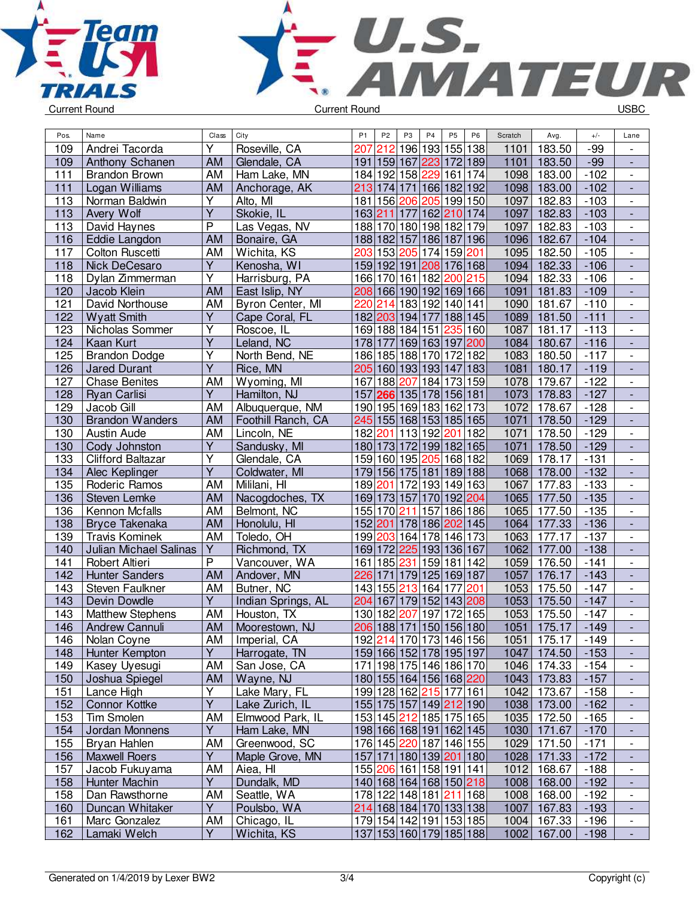



| Pos. | Name                          | Class                   | City               | P <sub>1</sub> | P <sub>2</sub>          | P3  | P <sub>4</sub>      | P <sub>5</sub> | P <sub>6</sub> | Scratch | Avg.          | $+/-$  | Lane                         |
|------|-------------------------------|-------------------------|--------------------|----------------|-------------------------|-----|---------------------|----------------|----------------|---------|---------------|--------|------------------------------|
| 109  | Andrei Tacorda                | Υ                       | Roseville, CA      | 207            | 212                     |     | 196 193 155 138     |                |                | 1101    | 183.50        | $-99$  |                              |
| 109  | Anthony Schanen               | AM                      | Glendale, CA       |                | 191 159 167 223         |     |                     | 172 189        |                | 1101    | 183.50        | $-99$  |                              |
| 111  | <b>Brandon Brown</b>          | AM                      | Ham Lake, MN       |                | 184 192 158 229         |     |                     | 161 174        |                | 1098    | 183.00        | $-102$ | $\blacksquare$               |
| 111  | Logan Williams                | AM                      | Anchorage, AK      |                | 213 174 171 166 182 192 |     |                     |                |                | 1098    | 183.00        | $-102$ | $\Box$                       |
| 113  | Norman Baldwin                | Y                       | Alto, MI           |                | 181 156 206 205 199 150 |     |                     |                |                | 1097    | 182.83        | $-103$ | $\blacksquare$               |
| 113  | Avery Wolf                    | $\overline{Y}$          | Skokie, IL         |                | 163 211 177 162 210 174 |     |                     |                |                | 1097    | 182.83        | $-103$ | $\overline{\phantom{a}}$     |
| 113  | David Haynes                  | P                       | Las Vegas, NV      |                | 188 170 180 198 182 179 |     |                     |                |                | 1097    | 182.83        | $-103$ | $\overline{\phantom{a}}$     |
| 116  | Eddie Langdon                 | <b>AM</b>               | Bonaire, GA        |                | 188 182 157 186 187 196 |     |                     |                |                | 1096    | 182.67        | $-104$ | $\blacksquare$               |
| 117  | Colton Ruscetti               | AM                      | Wichita, KS        | 203            |                         |     | 153 205 174 159 201 |                |                | 1095    | 182.50        | $-105$ | $\overline{\phantom{a}}$     |
| 118  | Nick DeCesaro                 | Y                       | Kenosha, WI        |                | 159 192 191 208 176 168 |     |                     |                |                | 1094    | 182.33        | $-106$ |                              |
| 118  | Dylan Zimmerman               | Υ                       | Harrisburg, PA     |                | 166 170 161 182         |     |                     | 200 215        |                | 1094    | 182.33        | $-106$ | $\overline{\phantom{a}}$     |
| 120  | Jacob Klein                   | AM                      | East Islip, NY     |                | 208 166 190 192 169 166 |     |                     |                |                | 1091    | 181.83        | $-109$ | $\frac{1}{2}$                |
| 121  | David Northouse               | AM                      | Byron Center, MI   |                | 220 214 183 192 140 141 |     |                     |                |                | 1090    | 181.67        | $-110$ | $\overline{\phantom{a}}$     |
| 122  | <b>Wyatt Smith</b>            | Υ                       | Cape Coral, FL     |                | 182 203 194 177         |     |                     | 188 145        |                | 1089    | 181.50        | $-111$ | $\Box$                       |
| 123  | Nicholas Sommer               | Y                       | Roscoe, IL         |                | 169 188 184 151         |     |                     | 235 160        |                | 1087    | 181.17        | $-113$ | $\blacksquare$               |
| 124  | Kaan Kurt                     | Ÿ                       | Leland, NC         |                | 178 177                 |     | 169 163 197 200     |                |                | 1084    | 180.67        | $-116$ | $\frac{1}{2}$                |
| 125  | <b>Brandon Dodge</b>          | Υ                       | North Bend, NE     |                | 186 185 188 170 172 182 |     |                     |                |                | 1083    | 180.50        | $-117$ | $\qquad \qquad \blacksquare$ |
| 126  | <b>Jared Durant</b>           | $\overline{\mathsf{Y}}$ | Rice, MN           |                | 205 160 193 193 147 183 |     |                     |                |                | 1081    | 180.17        | $-119$ |                              |
| 127  | <b>Chase Benites</b>          | AM                      | Wyoming, MI        |                | 167 188 207 184 173 159 |     |                     |                |                | 1078    | 179.67        | $-122$ |                              |
| 128  | Ryan Carlisi                  | $\overline{Y}$          | Hamilton, NJ       |                | 157 266 135 178 156 181 |     |                     |                |                | 1073    | 178.83        | $-127$ | $\blacksquare$               |
| 129  | Jacob Gill                    | AM                      | Albuquerque, NM    |                | 190 195 169 183 162 173 |     |                     |                |                | 1072    | 178.67        | $-128$ | $\overline{\phantom{a}}$     |
| 130  | <b>Brandon Wanders</b>        | AM                      | Foothill Ranch, CA |                | 245 155 168 153 185 165 |     |                     |                |                | 1071    | 178.50        | $-129$ | $\overline{\phantom{a}}$     |
| 130  | Austin Aude                   | AM                      | Lincoln, NE        |                | 182 201 113 192 201     |     |                     |                | 182            | 1071    | 178.50        | $-129$ | $\overline{\phantom{a}}$     |
| 130  | Cody Johnston                 | $\overline{Y}$          | Sandusky, MI       |                | 180 173 172 199 182 165 |     |                     |                |                | 1071    | 178.50        | $-129$ | $\Box$                       |
| 133  | <b>Clifford Baltazar</b>      | $\overline{Y}$          | Glendale, CA       |                | 159 160 195 205         |     |                     | 168 182        |                | 1069    | 178.17        | $-131$ | $\blacksquare$               |
| 134  | Alec Keplinger                | Ÿ                       | Coldwater, MI      |                | 179 156 175 181         |     |                     | 189 188        |                | 1068    | 178.00        | $-132$ | $\frac{1}{2}$                |
| 135  | Roderic Ramos                 | AM                      | Mililani, HI       |                | 189 201                 |     | 172 193 149 163     |                |                | 1067    | 177.83        | $-133$ | $\qquad \qquad \blacksquare$ |
| 136  | Steven Lemke                  | <b>AM</b>               | Nacogdoches, TX    |                | 169 173 157 170 192 204 |     |                     |                |                | 1065    | 177.50        | $-135$ |                              |
| 136  | Kennon Mcfalls                | AM                      | Belmont, NC        |                | 155 170 211 157         |     |                     | 186 186        |                | 1065    | 177.50        | $-135$ |                              |
| 138  | <b>Bryce Takenaka</b>         | <b>AM</b>               | Honolulu, HI       |                | 152 201 178 186 202 145 |     |                     |                |                | 1064    | 177.33        | $-136$ | $\blacksquare$               |
| 139  | <b>Travis Kominek</b>         | AM                      | Toledo, OH         |                | 199 203 164 178 146 173 |     |                     |                |                | 1063    | 177.17        | $-137$ | $\overline{\phantom{a}}$     |
| 140  | <b>Julian Michael Salinas</b> | Υ                       | Richmond, TX       |                | 169 172 225 193 136 167 |     |                     |                |                | 1062    | 177.00        | $-138$ | $\blacksquare$               |
| 141  | Robert Altieri                | $\overline{P}$          | Vancouver, WA      |                | 161 185 231 159 181 142 |     |                     |                |                | 1059    | 176.50        | $-141$ | $\overline{\phantom{a}}$     |
| 142  | <b>Hunter Sanders</b>         | AM                      | Andover, MN        |                | 226 171 179 125 169 187 |     |                     |                |                | 1057    | 176.17        | $-143$ | $\blacksquare$               |
| 143  | Steven Faulkner               | AM                      | Butner, NC         |                | 143 155 213             |     | 164                 | 177            | 201            | 1053    | 175.50        | $-147$ | $\blacksquare$               |
| 143  | Devin Dowdle                  | Y                       | Indian Springs, AL | 204            |                         |     | 167 179 152 143 208 |                |                | 1053    | 175.50        | $-147$ | $\overline{\phantom{a}}$     |
| 143  | <b>Matthew Stephens</b>       | AM                      | Houston, TX        |                | 130 182                 | 207 | 197                 | 172 165        |                | 1053    | 175.50        | $-147$ |                              |
| 146  | <b>Andrew Cannuli</b>         | AM                      | Moorestown, NJ     |                | 206 188 171 150 156 180 |     |                     |                |                | 1051    | 175.17        | $-149$ |                              |
| 146  | Nolan Coyne                   | AM                      | Imperial, CA       |                | 192 214 170 173 146 156 |     |                     |                |                |         | 1051   175.17 | -149   |                              |
| 148  | Hunter Kempton                | Y                       | Harrogate, TN      |                | 159 166 152 178 195 197 |     |                     |                |                |         | 1047 174.50   | $-153$ |                              |
| 149  | Kasey Uyesugi                 | AM                      | San Jose, CA       |                | 171 198 175 146 186 170 |     |                     |                |                | 1046    | 174.33        | $-154$ |                              |
| 150  | Joshua Spiegel                | AM                      | Wayne, NJ          |                | 180 155 164 156 168 220 |     |                     |                |                |         | 1043 173.83   | $-157$ |                              |
| 151  | Lance High                    | $\overline{Y}$          | Lake Mary, FL      |                | 199 128 162 215 177 161 |     |                     |                |                | 1042    | 173.67        | $-158$ |                              |
| 152  | <b>Connor Kottke</b>          | Y                       | Lake Zurich, IL    |                | 155 175 157 149 212 190 |     |                     |                |                |         | 1038 173.00   | $-162$ | $\overline{\phantom{a}}$     |
| 153  | Tim Smolen                    | AM                      | Elmwood Park, IL   |                | 153 145 212 185 175 165 |     |                     |                |                | 1035    | 172.50        | $-165$ | $\overline{\phantom{a}}$     |
| 154  | Jordan Monnens                | Y                       | Ham Lake, MN       |                | 198 166 168 191 162 145 |     |                     |                |                |         | 1030 171.67   | $-170$ | $\overline{\phantom{a}}$     |
| 155  | Bryan Hahlen                  | AM                      | Greenwood, SC      |                | 176 145 220 187 146 155 |     |                     |                |                | 1029    | 171.50        | $-171$ | $\qquad \qquad \blacksquare$ |
| 156  | <b>Maxwell Roers</b>          | Y                       | Maple Grove, MN    |                | 157 171 180 139 201 180 |     |                     |                |                |         | 1028 171.33   | $-172$ | ٠                            |
| 157  | Jacob Fukuyama                | AM                      | Aiea, HI           |                | 155 206 161 158 191 141 |     |                     |                |                |         | 1012 168.67   | $-188$ | $\overline{\phantom{a}}$     |
| 158  | Hunter Machin                 | Y.                      | Dundalk, MD        |                | 140 168 164 168 150 218 |     |                     |                |                |         | 1008 168.00   | $-192$ |                              |
| 158  | Dan Rawsthorne                | AM                      | Seattle, WA        |                | 178 122 148 181 211 168 |     |                     |                |                | 1008    | 168.00        | $-192$ | $\overline{\phantom{a}}$     |
| 160  | Duncan Whitaker               | Y                       | Poulsbo, WA        |                | 214 168 184 170 133 138 |     |                     |                |                |         | 1007 167.83   | $-193$ |                              |
| 161  | Marc Gonzalez                 | AM                      | Chicago, IL        |                | 179 154 142 191 153 185 |     |                     |                |                | 1004    | 167.33        | $-196$ | $\overline{\phantom{a}}$     |
| 162  | Lamaki Welch                  | $\overline{Y}$          | Wichita, KS        |                | 137 153 160 179 185 188 |     |                     |                |                |         | 1002 167.00   | $-198$ | ÷,                           |